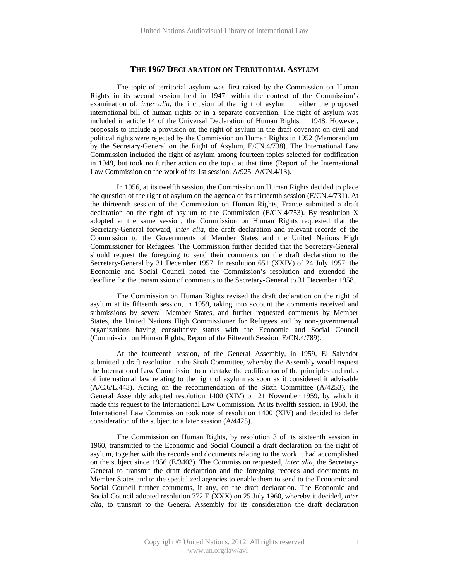## **THE 1967 DECLARATION ON TERRITORIAL ASYLUM**

The topic of territorial asylum was first raised by the Commission on Human Rights in its second session held in 1947, within the context of the Commission's examination of, *inter alia*, the inclusion of the right of asylum in either the proposed international bill of human rights or in a separate convention. The right of asylum was included in article 14 of the Universal Declaration of Human Rights in 1948. However, proposals to include a provision on the right of asylum in the draft covenant on civil and political rights were rejected by the Commission on Human Rights in 1952 (Memorandum by the Secretary-General on the Right of Asylum, E/CN.4/738). The International Law Commission included the right of asylum among fourteen topics selected for codification in 1949, but took no further action on the topic at that time (Report of the International Law Commission on the work of its 1st session, A/925, A/CN.4/13).

In 1956, at its twelfth session, the Commission on Human Rights decided to place the question of the right of asylum on the agenda of its thirteenth session (E/CN.4/731). At the thirteenth session of the Commission on Human Rights, France submitted a draft declaration on the right of asylum to the Commission (E/CN.4/753). By resolution X adopted at the same session, the Commission on Human Rights requested that the Secretary-General forward, *inter alia*, the draft declaration and relevant records of the Commission to the Governments of Member States and the United Nations High Commissioner for Refugees. The Commission further decided that the Secretary-General should request the foregoing to send their comments on the draft declaration to the Secretary-General by 31 December 1957. In resolution 651 (XXIV) of 24 July 1957, the Economic and Social Council noted the Commission's resolution and extended the deadline for the transmission of comments to the Secretary-General to 31 December 1958.

The Commission on Human Rights revised the draft declaration on the right of asylum at its fifteenth session, in 1959, taking into account the comments received and submissions by several Member States, and further requested comments by Member States, the United Nations High Commissioner for Refugees and by non-governmental organizations having consultative status with the Economic and Social Council (Commission on Human Rights, Report of the Fifteenth Session, E/CN.4/789).

At the fourteenth session, of the General Assembly, in 1959, El Salvador submitted a draft resolution in the Sixth Committee, whereby the Assembly would request the International Law Commission to undertake the codification of the principles and rules of international law relating to the right of asylum as soon as it considered it advisable (A/C.6/L.443). Acting on the recommendation of the Sixth Committee (A/4253), the General Assembly adopted resolution 1400 (XIV) on 21 November 1959, by which it made this request to the International Law Commission. At its twelfth session, in 1960, the International Law Commission took note of resolution 1400 (XIV) and decided to defer consideration of the subject to a later session (A/4425).

The Commission on Human Rights, by resolution 3 of its sixteenth session in 1960, transmitted to the Economic and Social Council a draft declaration on the right of asylum, together with the records and documents relating to the work it had accomplished on the subject since 1956 (E/3403). The Commission requested, *inter alia*, the Secretary-General to transmit the draft declaration and the foregoing records and documents to Member States and to the specialized agencies to enable them to send to the Economic and Social Council further comments, if any, on the draft declaration. The Economic and Social Council adopted resolution 772 E (XXX) on 25 July 1960, whereby it decided, *inter alia*, to transmit to the General Assembly for its consideration the draft declaration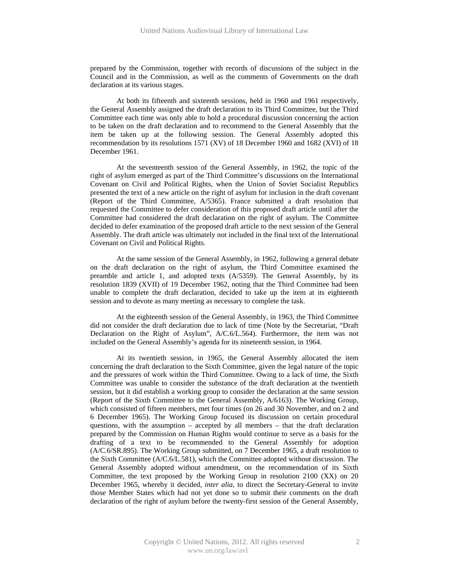prepared by the Commission, together with records of discussions of the subject in the Council and in the Commission, as well as the comments of Governments on the draft declaration at its various stages.

At both its fifteenth and sixteenth sessions, held in 1960 and 1961 respectively, the General Assembly assigned the draft declaration to its Third Committee, but the Third Committee each time was only able to hold a procedural discussion concerning the action to be taken on the draft declaration and to recommend to the General Assembly that the item be taken up at the following session. The General Assembly adopted this recommendation by its resolutions 1571 (XV) of 18 December 1960 and 1682 (XVI) of 18 December 1961.

At the seventeenth session of the General Assembly, in 1962, the topic of the right of asylum emerged as part of the Third Committee's discussions on the International Covenant on Civil and Political Rights, when the Union of Soviet Socialist Republics presented the text of a new article on the right of asylum for inclusion in the draft covenant (Report of the Third Committee, A/5365). France submitted a draft resolution that requested the Committee to defer consideration of this proposed draft article until after the Committee had considered the draft declaration on the right of asylum. The Committee decided to defer examination of the proposed draft article to the next session of the General Assembly. The draft article was ultimately not included in the final text of the International Covenant on Civil and Political Rights.

At the same session of the General Assembly, in 1962, following a general debate on the draft declaration on the right of asylum, the Third Committee examined the preamble and article 1, and adopted texts (A/5359). The General Assembly, by its resolution 1839 (XVII) of 19 December 1962, noting that the Third Committee had been unable to complete the draft declaration, decided to take up the item at its eighteenth session and to devote as many meeting as necessary to complete the task.

At the eighteenth session of the General Assembly, in 1963, the Third Committee did not consider the draft declaration due to lack of time (Note by the Secretariat, "Draft Declaration on the Right of Asylum", A/C.6/L.564). Furthermore, the item was not included on the General Assembly's agenda for its nineteenth session, in 1964.

At its twentieth session, in 1965, the General Assembly allocated the item concerning the draft declaration to the Sixth Committee, given the legal nature of the topic and the pressures of work within the Third Committee. Owing to a lack of time, the Sixth Committee was unable to consider the substance of the draft declaration at the twentieth session, but it did establish a working group to consider the declaration at the same session (Report of the Sixth Committee to the General Assembly, A/6163). The Working Group, which consisted of fifteen members, met four times (on 26 and 30 November, and on 2 and 6 December 1965). The Working Group focused its discussion on certain procedural questions, with the assumption – accepted by all members – that the draft declaration prepared by the Commission on Human Rights would continue to serve as a basis for the drafting of a text to be recommended to the General Assembly for adoption (A/C.6/SR.895). The Working Group submitted, on 7 December 1965, a draft resolution to the Sixth Committee (A/C.6/L.581), which the Committee adopted without discussion. The General Assembly adopted without amendment, on the recommendation of its Sixth Committee, the text proposed by the Working Group in resolution 2100 (XX) on 20 December 1965, whereby it decided*, inter alia*, to direct the Secretary-General to invite those Member States which had not yet done so to submit their comments on the draft declaration of the right of asylum before the twenty-first session of the General Assembly,